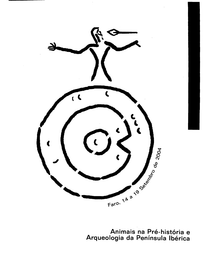

Animais na Pré-história e<br>Arqueologia da Península Ibérica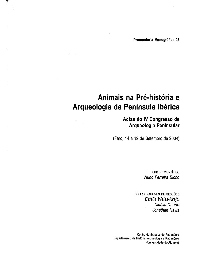Promontoria Monográfica 03

# **Animais na Pre-historia e Arqueologia da Peninsula Iberica**

# **Aetas do IV Congresso de Arqueologia Peninsular**

(Faro, 14 a 19 de Setembro de 2004)

EDITOR CIENTIFICO Nuno Ferreira Bicho

COORDENADORES DE SESSÕES Estella Weiss-Krejci Cidália Duarte Jonathan Haws

Centro de Estudos de Patrim6nio Departamento de História, Arqueologia e Património (Universidade do Algarve)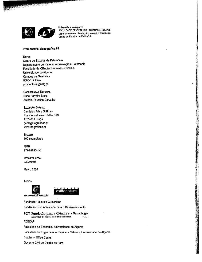

Universidade do Algarve FACULDADE DE CIÊNCIAS HUMANAS E SOCIAIS Departamento de Hist6ria. Arqueologia e Patrim6nio Centro de Estudos de Palrim6nio

海藻 たんだだ すまい

# Promontoria Monográfica 03

#### EDITOR

Centro de Estudos de Patrim6nio Departamento de Hist6ria, Arqueologia e Patrim6nio Faculdade de Ciências Humanas e Sociais Universidade do Algarve Campus de Gambelas 8000·117 Faro promontoria@ualg.pt

COORDENACAo EDITORIAL Nuno Ferreira Bicho Ant6nio Faustino Carvalho

# Execução Gráfica

Candeias Artes Graficas Rua Conselheiro Lobato, 179 4705·089 Braga geral@litografiaac.pt www.litografiaac.pt

**TIRAGEM** 500 exemplares

ISBN 972·99693·1-0

DEPOSITO LEGAL 239279106

Margo 2006

**A**polos





Fundayao Calouste Gulbenkian

Fundayao Luso Americana para 0 Desenvolvimento

**FCT Fundação para a Ciência e a Tecnologia** MINISTÉRIO DA CIÊNCIA E DO ENSINO SUPERIOR POTOgal

ADECAP

Faculdade de Economia. Universidade do Algarve

Faculdade de Engenharia e Recursos Naturais. Universidade do Algarve

Staples - Office Center

Governo Civil do Distrito de Faro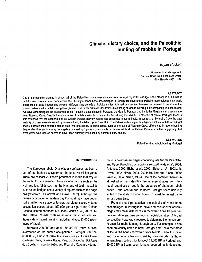# **Climate, dietary choice, and the Paleolithic hunting of rabbits in Portugal**

# Bryan Hockett

Bureau of Land Management, Elko Field Office, 3900 East Idaho Street, Elko, Nevada, 89801, USA

#### **ABSTRACT**

One of the common themes in almost all of the Paleolithic faunal assemblages from Portugal regardless of age is the presence of abundant rabbit bones. From a broad perspective, the ubiquity of rabbit bone assemblages in Portuguese cave and rockshelter assemblages may mask differences in bone frequencies between different time periods at individual sites. A broad perspective, however, is required to determine the human preference for rabbit hunting through time. This paper discusses the Paleolithic hunting of rabbits in Portugal by comparing and contrasting two cave assemblages: the oldest well-dated Paleolithic assemblage in Portugal, the Galeria Pesada, and the latter Magdalenian assemblage from Picareiro Cave. Despite the abundance of rabbits available to human hunters during the Middle Pleistocene of central Portugal, there is little evidence that the occupants of the Galeria Pesada actively hunted and consumed these animals. In contrast, at Picareiro Cave the vast majority of bones were deposited by humans during the latter Upper Paleolithic. The Paleolithic hunting of small game such as rabbits in Portugal shows discontinuous patterns across both time and space. In some cases, such as the case of Picareiro Cave, differences in leporid hunting frequencies through time may be largely explained by topography and shifts in climate, while at the Galeria Pesada a pattern suggesting that small game was ignored seems to have been primarily influenced by human dietary choice.

> **KEYWORDS**  Paleolithic diet; rabbit hunting; Portugal

# **INTRODUCTION**

The European rabbit (Oryctolagus cuniculus) has been a part of the Iberian ecosystem for the past two million years. There are at least 20 known predators in Iberia that rely on the rabbit for sustenance. These include canids such as the wolf and fox, felids such as the lynx and wildcat, mustelids such as the badger, and a variety of raptors such as the eagle owl (reviewed in Hockett and Haws, 2002). Although the human occupation of modern day Portugal may have begun half a million years ago or longer, the oldest securely dated occupation occurs about 250,000 years ago at the Galeria Pesada located northeast of Lisbon (Marks et al., 2002a, b). The Galeria Pesada contains abundant lithic artifacts and thousands of faunal remains, including almost 13,000 specimens of rabbit.

Between 200,000 and about 60,000 BP, there is scant information on the human occupation of Portugal. After ca. 60,000 BP, a host of Paleolithic sites such as Oliveira Cave, Caldeirão Cave, Figueira Brava, Pego do Diabo, Val Boi, Lapa dos Coelhos, Lapa do Suão, and Picareiro Cave provide numerous dated assemblages containing late Middle Paleolithic and Upper Paleolithic occupations (e.g., Almeida et al., 2004; Antunes, 2000; Bicho et al., 2000; Bicho et al., 2003a, b; Davis, 2002; Haws, 2003, 2004; Hockett and Bicho, 2000; Valente, 2004; Zilhao, 1995). One of the common themes in almost all of the Paleolithic faunal assemblages from Portugal regardless of age is the presence of abundant rabbit bones. Thus, central and southern Portugal seem uniquely suited to the study of human hunting of small terrestrial game across deep time.

From a broad perspective, the ubiquity of rabbit bone assemblages in Portuguese cave and rockshelter assemblages may mask differences in recovered bone frequencies between different time periods at individual sites. A broad perspective, however, is required to determine the human preference for rabbit hunting through time. For example, it has been previously noted in both Portugal and Spain that most of the rabbit bones recovered from Middle Paleolithic cave and rockshelter sites occupied by Neandertals, or those assemblages dating prior to about 28,000 BP in Portugal and 30,000 BP in Spain, seem to have been primarily deposited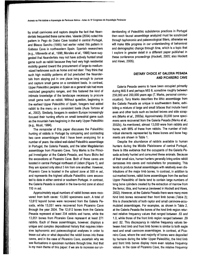by small carnivores and raptors despite the fact that Neandertals frequented these same sites. Valente (2004) noted this pattern in Pego do Diabo Cave located in central Portugal, and Blasco Sancho (1995) had earlier noted this pattern in Gabasa Cave in northeastern Spain. Spanish researchers (e.g., Villaverde et al., 1996; Morales et al., 1998) have suggested that Neandertals may not have actively hunted small game such as rabbit because they had very high residential mobility geared toward the procurement of large-to-medium -sized herbivores such as horse and red deer. They think that such high mobility patterns all but precluded the Neandertals from staying put in one place long enough to pursue and capture small game on a consistent basis. In contrast, Upper Paleolithic peoples in Spain as a general rule had more restricted geographic ranges, and this fostered the kind of intimate knowledge of the landscape necessary to procure small game such as rabbit. Without question, beginning in the earliest Upper Paleolithic of Spain, foragers had added rabbit to the menu on a consistent basis (Aura Tortosa et al., 2002). Similarly, foragers in eastern Europe increasingly focused their hunting efforts on small terrestrial game such as the mountain hare beginning in the early Upper Paleolithic (e.g., Musil, 1994).

The remainder of this paper discusses the Paleolithic hunting of rabbits in Portugal by comparing and contrasting two cave assemblages that I have been analyzing for a number of years: the oldest well-dated Paleolithic assemblage in Portugal, the Galeria Pesada, and the latter Magdalenian assemblage from Picareiro Cave. Tony Marks is the Principal Investigator at the Galeria Pesada, and Nuno Bicho led the excavations at Picareiro Cave. Both of these caves are located in central Portugal northeast of Lisbon (Figure 1), and they are spaced only about 5 km from one another. However, Picareiro Cave is located in the upland zone at 550 m asl, and represents the highest altitude Paleolithic cave excavated to date in either central or southern Portugal. In contrast, the Galeria Pesada is located in the low-to-mid zone at about 110 mas!.

Approximately equal numbers of rabbit bones were recovered from both caves: 13,000 specimens each. A total of 12,612 leporid bones were recovered from the Galeria Pesada, while 13,051 were recovered from Picareiro Cave through the year 2004. The 12,612 bones from the Galeria Pesada represent at least 234 rabbits and hares, while the 13,051 bones from Picareiro Cave represent at least 271 rabbits. Each of these assemblages, however, displays a unique and complex depositional history that requires intensive taphonomic and paleoecological analyses in order to tease out who or what deposited the rabbit bones into these caves, and in the case of Picareiro Cave, ascertain why we see fluctuations in specimen numbers through time. And that is my main theme of this paper: if we are to increase our understanding of Paleolithic subsistence practices in Portugal then each faunal assemblage analyzed must be scrutinized through taphonomic and paleoecological filters, otherwise we will make little progress in our understanding of behavioral and demographic change through time, which is a topic that I explore in greater detail in a different paper published in these conference proceedings (Hockett, 2005; also Hockett and Haws, 2005).

# **DIETARY CHOICE AT GALERIA PESADA AND PICAREIRO CAVE**

Galeria Pesada seems to have been occupied primarily during MIS 8 and perhaps MIS 6, sometime roughly between 250,000 and 200,000 years ago (T. Marks, personal communication). Tony Marks describes the lithic assemblage from the Galeria Pesada as unique in southwestern Iberia, exhibiting a mixture of large and small bifaces that include hand axes and other tools such as backed knives and side scrapers (Marks et al., 2002a). Approximately 20,000 bone specimens were recovered from the Galeria Pesada (Marks et al., 2002b). As mentioned, almost 13,000 were from rabbits and hares, with 99% of these from rabbits. The number of individual elements represented by these bones and bone fragments are shown in Table 1.

Despite the abundance of rabbits available to human hunters during the Middle Pleistocene of central Portugal, there is little evidence that the occupants of the Galeria Pesada actively hunted and consumed these animals. Because of their small size, human hunters generally bring entire rabbit carcasses into caves and rockshelters for processing. This tends to produce faunal assemblages with relatively even distributions of the major limb bones. In contrast, in addition to cut-marked bones, rabbit bone assemblages from the earliest Upper Paleolithic of Iberia tend to contain large numbers of long bone cylinders created by the extraction of marrow from the femur, tibia, and humerus (reviewed in Hockett and Haws, 2002). However, at the Galeria Pesada there were many more hind limb bones recovered than front limb bones (Table 2); this is characteristic of both raptor and small carnivore-accumulated assemblages. For examples, as shown in Table 2, at the Galeria Pesada the bones of the hind limb region returned relative frequency values that ranged between .63 and 1.0, while those of the front limb region ranged between .29 and .52. This discrepancy in relative frequency values between hind limb and front limb bones is similar to both eagle nest and small carnivore assemblages. In contrast, at Picareire Cave, where the vast majority of bones were deposited by humans during the latter Upper Paleolithic, the hind limb and front limb bones display more even relative frequency values. In the case of Picareiro Cave, the relative frequency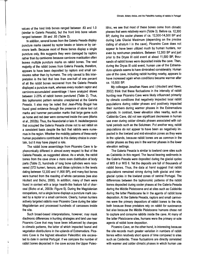values of the hind limb bones ranged between .63 and 1.0 (similar to Galeria Pesada), but the front limb bone values ranged between .59 and .85 (Table 2).

In addition, several bones from the Galeria Pesada display puncture marks caused by raptor beaks or talons or by carnivore teeth. Because most of these bones display a single puncture only, this suggests they were damaged by raptors rather than by carnivores because carnivore mastication often leaves multiple puncture marks on rabbit bones. The vast majority of the rabbit bones from Galeria Pesada, therefore, appears to have been deposited by raptors and small carnivores rather than by humans. The only caveat to this interpretation is the fact that less than one-half of one percent of all the rabbit bones recovered from the Galeria Pesada displayed a puncture mark, whereas every modem raptor and carnivore-accumulated assemblage I have analyzed shows between 2-25% of rabbit bones punctured (Table 2). Thus, this taphonomic pattern remains unexplained at the Galeria Pesada. It also may be noted that Jean-Philip Brugal has found good evidence through the presence of stone tool cut marks and hammer percussion marks that large game such as horse and red deer were consumed inside the cave (Marks et al., 2002b). Thus, the Neandertal or late H. heidelbergensis that occupied the Galeria Pesada chose not to eat rabbit on a consistent basis despite the fact that rabbits were numerous in the region. Whether the mobility patterns of these early human populations contributed to this dietary choice is uncertain, but it may have played a role.

The rabbit bone assemblage from Picareiro Cave is taphonomically different in almost every respect to that of the Galeria Pesada, as suggested above. As a whole, the rabbit bones from the cave show a more even distribution of body parts (Table 2), hundreds of long bone cylinders were recovered (572 humeri, femora, and tibiae cylinders in the levels dating between 12,300 and 11,800 BP), and many foot bones were burned from the roasting of whole carcasses (see also Hockett and Bicho, 2000). In addition, many of them were found in context with a large hearth-like feature full of charcoal (Bicho et a/., 2003b: Figure 5). During the Magdalenian occupations, not a single bone displays a puncture mark caused by a raptor or a small carnivore. Clearly, human hunters actively targeted rabbits near Picareiro Cave during the latter Magdalenian and processed hundreds of carcasses inside the site.

Such broad-based interpretations, however, may mask diachronic differences in hunting strategies and land use near Picareiro Cave that may have been influenced by changes in climatic patterns, the latter of which impacted faunal and vegetation distributions in the uplands of Estremadura. Picareiro Cave is the highest elevation Paleolithic site excavated to date in central Portugal. If we compare the number of rabbit bones deposited in the cave across the Upper Paleolithic, we see that most of these bones come from climatic phases that were relatively warm (Table 3). Before ca. 12,300 BP, during the cooler phases of ca. 12,500-14,500 BP and during Late Glacial Maximum (depending on the precise dating of stratum I in the cave), Picareiro Cave does not appear to have been utilized much by human hunters, nor even by nonhuman predators. Between 12,300 BP and just prior to the Dryas III cold event at about 11,500 BP, thousands of rabbit bones were deposited inside the cave. Then, during the Dryas III cold event, human use of the Estremadura uplands seems to have diminished considerably. Human use of the cave, including rabbit hunting nearby, appears to have increased again when conditions became warmer after ca. 10,500 BP.

My colleague Jonathan Haws and I (Hockett and Haws, 2002) think that these fluctuations in the intensity of rabbit hunting near Picareiro Cave were likely influenced primarily by climatic conditions that negatively impacted local rabbit populations during colder phases and positively impacted their numbers during warmer phases in the Estremadura uplands. In contrast, lower elevation sites nearby, such as Caldeirao Cave, did not see significant decreases in human use even during colder climatic phases associated with cultural periods such as the Solutrean. Put another way, rabbit populations do not appear to have been as negatively impacted in the lowland and mid-elevation zones as they were in the uplands, because rabbit bones are as common in the colder phases as they are in the warmer phases in the lower elevation settings.

The Galeria Pesada is similar to lowland cave sites such as Caldeirão in this regard. The faunal bearing sediments in the Galeria Pesada were deposited during the glacial cycles of MIS 8 or MIS 6. Yet the deposits are full of thousands of rabbit bones. Thus, the data at hand suggest that rabbit populations remained strong during both glacial and interglacial cycles in the lowland zones of central Portugal. The differences between the taphonomic patterns of the rabbit bones deposited during cooler phases at the Galeria Pesada during the Middle Pleistocene and at sites such as Caldeirão during the latter Pleistocene lie in the agents of rabbit bone deposition. At the Galeria Pesada, raptors and small carnivores were the primary depositors of rabbit bones to the site, both because these predators rely on rabbit for sustenance but also because the Middle Pleistocene humans chose not to capture and consume rabbits inside the cave. At many of the latter Pleistocene sites, humans were the primary or sole agents of rabbit bone deposition.

Picareiro Cave, on the other hand, is interesting because the site records much greater variation in numbers of rabbit bones within relatively short spans of time compared to sites such as Caldeirao. These fluctuations are directly correlated with warmer and colder climatic phases in which human use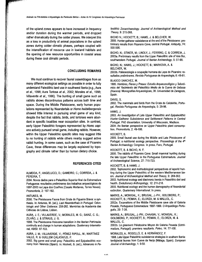of the upland zones appears to have increased in frequency andlor duration during the warmer periods, and dropped rather dramatically during the colder phases. We interpret this as a loss in productivity of animal populations in the upland zones during colder climatic phases, perhaps coupled with the intensification of resource use in lowland habitats and the opening of new resource opportunities in coastal areas during these cool climatic periods.

# **CONCLUDING REMARKS**

We must continue to recover faunal assemblages from as many different ecological settings as possible in order to fully understand Paleolithic land use in southwest Iberia (e.g., Aura et aI., 1998; Aura Tortosa et al., 2002; Morales et aI., 1998; Villaverde et al., 1996). The hunting of small game such as rabbits shows discontinuous patterns across both time and space. During the Middle Pleistocene, early human popu . lations represented by Neandertals or Homo heidelbergensis showed little interest in pursuing small game of any kind, despite the fact that rabbits, birds, and tortoises were abun· dant in specific localities near occupation sites. In contrast, early Upper Paleolithic foragers represented by Homo within the Upper Paleolithic specific sites may suggest little e*ns* actively pursued small game, including rabbits. However, to no hunting of rabbits while others nearby suggest active rabbit hunting. In some cases, such as the case of Picareiro Cave, these differences may be largely explained by topography and climate rather than by human dietary choice.

# **REFERENCES CITED**

# ALMEIDA, E; ANGELUCCI, D.; GAMEIRO, C.; CORREIA,. J. & PEREIRA, T.

2004. Novos dados para 0 Paleolftico Superior final da Estremadura Portuguesa: resultados preliminares dos trabalhos arqueológicos de 1997-2003 na Lapa dos Coelhos (Casais Martanes, Torres Novas). Promontoria, 2: 157-192.

#### ANTUNES, M.

2000. The Pleistocene Fauna from Gruta do Figueira Brava: a synthesis. In: Antunes, M. (ed.), Last Neanderthals in Portugal: Odon tologic and Other Evidence: 259-282. Memorias da Academia das Ciencias de Lisboa, Lisbon.

AURA, J. E.; VILLAVERDE, V.; MORALES, M. G.; SAINZ, C. G.; ZILHAo, J. & STRAUS, J. G.

1998. The Pleistocene-Holocene transition in the Iberian Peninsula: continuity and change in human adaptations. Quaternary Internatio nal, 49/50: 87-103.

AURA, J. M.; VILLAVERDE, V.; PEREZ RIPOLL, M.; MARTINEZ VALLE, R. & GUILLEM CALATAYUD, P.

2002. Big game and small prey: Paleolithic and Epipaleolithic eco nomy from Valencia (Spain). In: Hockett, B. (ed.), Advances in Pa· leolithic Zooarchaeo/ogy. Journal of Archaeological Method and Theory, 9: 215-268.

BICHO N.: HOCKETT, B.; HAWS, J. & BELCHER, W.

2000. Hunter-gatherer SUbsistence at the end of the Pleistocene: pre liminary results from Picareiro Cave, central Portugal. Antiquity, 74: 500-506.

BICHO, N.: STINER. M.: LlNDLY, J.; FERRING, C. & CORREIA, J. 2003a. Preliminary results from the Upper Paleolithic site of Vale Boi, southwestern Portugal. Journal of Iberian Archaeology, 5: 51-68.

BICHO, N.; HAWS, J.; HOCKETT, B.; MARKOVA, A. & BELCHER, W.

2003b. Paleoecologia e ocupação humana da Lapa do Picareiro: resultados preliminares. Revista Portuguesa de Arqueologia, 6: 49-81.

# BLASCO SANCHEZ, M.

1995. Hombres, Fieras y Presas: Estudio Arqueozoológico y Tafonómico del Yacimiento del Paleolitico Medio de la Cueva de Gebasa (Huesca). Monografias Arqueol6gicas, 38. Universidad de Zaragoza, Spain.

#### DAVIS, S.

2002. The mammals and birds from the Grula do Caldeirao, Portu gal. Revista Portuguesa de Arqueologia, 5: 29-98.

#### HAWS, J.

sapi- 2004. An Iberian perspective on Upper Paleolithic plant consump-2003. An Investigation of Late Upper Paleolithic and Epipaleolithic Hunter-Gatherer Subsistence and Settlement Patterns in Central Portugal. PhD dissertation. University of Wisconsin, Madison. tion. Promontoria, 2: 49-106.

# HOCKETT. B.

2005. Small faunal use during the Middle and Late Pleistocene of Portugal: a nutritional ecology perspective. Proceedings of the  $4<sup>th</sup>$ Iberian Archaeology Congress. In press. Faro, Portugal.

#### HOCKETT. B. & BICHO, N. F.

2000. The rabbits of Picareiro Cave: Small mammal hunting during the late Upper Paleolithic in the Portuguese Estremadura. Journal of Archaeological Science, 27: 715-723.

#### HOCKETT. B. & HAWS, J.

2002. Taphonomic and methodological perspectives of leporid hun ting during the Upper Paleolithic of the western Mediterranean ba sin. Journal of Archaeological Method and Theory, 9: 269-302. 2003. Nutritional ecology and diachronic trends in Paleolithic diet and· health. Evolutionary Anthropology, 12: 211-216.

2005. Nutritional ecology and the human demography of Neandertal extinction. Quaternary International. In press.

MARKS, A.; MONIGAL, K.; BRUGAL, J.-PH.; GOLDBERG, P.; HOCKETT, B.; PEMAN, E.; ELORZA, M. & MALLOL, C. 2002a. Excavations of the Middle Pleistocene cave site of Galeria

Pesada, Portuguese Estremadura: 1997-1999. O Arqueólogo Portugues, 20: 7-38.

MARKS, A.; BRUGAL, J.-PH.; CHAABAI, v.; MONIGAL, K.; GOLDBERG, P.; HOCKETT. B.; PEMAN, E.; ELORZA, M. & MALLOL, C.

 2002b. Le gisement Pleistocene Moyen de Galeria Pesada (Estre madure, Portugal): premiers resultants. Paleo, 14: 77-100.

MORALES, A.; ROSELL6, E. & HERNANDEZ, E 1998. Late Upper Paleolithic subsistence strategies in southern Iberia: tardiglacial faunas from Cueva de Nerja (Málaga, Spain). European Journal of Archaeology, 1: 9-50.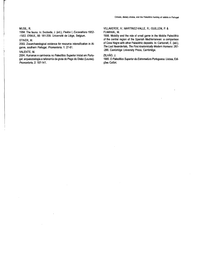#### MUSIL. R.

1994. The fauna. In: Svoboda. J. (ed.), Pavlov I. Excavations *1952 -1953.* ERAUL. 66: 181-209. Universite de Liege. Belgium.

# STINER. M.

2003. Zooarchaeological evidence for resource intensification in Al garve. southern Portugal. Promontoria. 1: 27-61.

#### VALENTE, M.

2004. Humanos ecamivoros no Paleolitico Superior inicial em Portu gal: arqueozoologia etafonomia da grula do Pego do Diabo (Loures). Promontoria, 2: 107-141.

# VILLAVERDE. V.; MARTINEZ-VALLE. R.; GUILLEM. P. & FUMANAL. M.

1996. Mobility and the role of small game in the Middle Paleolithic of the central region of the Spanish Mediterranean: a comparison of Cova Negra with other Paleolithic deposits. In: Carbonell. E. (ed.). The Last Neandertals, The First Anatomically Modern Humans: 267--288. Cambridge University Press. Cambridge.

#### ZILHAo. J.

1995. O Paleolitico Superior da Estremadura Portuguesa. Lisboa, Edi ções Colibri.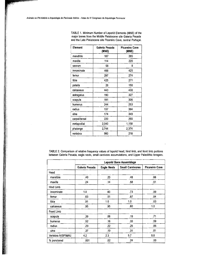| Element       | Galeria Pesada<br>(MNE) | <b>Picareiro Cave</b><br>(MNE) |  |
|---------------|-------------------------|--------------------------------|--|
| mandible      | 187                     | 285                            |  |
| maxilla       | 114                     | 220                            |  |
| sacrum        | 58                      | 8                              |  |
| innominate    | 468                     | 425                            |  |
| femur         | 297                     | 274                            |  |
| tibia         | 425                     | 271                            |  |
| patella       | 26                      | 150                            |  |
| calcaneus     | 443                     | 430                            |  |
| astragalus    | 190                     | 327                            |  |
| scapula       | 181                     | 306                            |  |
| humerus       | 244                     | 253                            |  |
| radius        | 137                     | 364                            |  |
| ulna          | 174                     | 349                            |  |
| carpal/tarsal | 220                     | 260                            |  |
| metapodial    | 2,040                   | 1,158                          |  |
| phalange      | 2,744                   | 2,374                          |  |
| vertebra      | 980                     | 218                            |  |

TABLE 1. Minimum Number of Leporid Elements (MNE) of the major bones from the Middle Pleistocene site Galeria Pesada and the Late Pleistocene site Picareiro Cave, central Portugal.

TABLE 2. Comparison of relative frequency values of leporid head, hind limb, and front limb portions between Galeria Pesada, eagle nests, small carnivore accumulations, and Upper Paleolithic foragers.

|                   | Leporid Bone Assemblage |                    |                         |                |
|-------------------|-------------------------|--------------------|-------------------------|----------------|
|                   | Galeria Pesada          | <b>Eagle Nests</b> | <b>Small Carnivores</b> | Picareiro Cave |
| Head              |                         |                    |                         |                |
| mandible          | .40                     | .23                | .48                     | .66            |
| maxilla           | .24                     | .14                | .58                     | .51            |
| Hind Limb         |                         |                    |                         |                |
| innominate        | 1.0                     | .60                | .73                     | .99            |
| femur             | .63                     | .51                | .67                     | .64            |
| tibia             | .91                     | 1.0                | 1.0                     | .63            |
| calcaneus         | .95                     | .95                | .60                     | 1.0            |
| Front Limb        |                         |                    |                         |                |
| scapula           | .39                     | .06                | .19                     | .71            |
| humerus           | .52                     | .18                | .33                     | .59            |
| radius            | .29                     | .22                | .25                     | .85            |
| ulna              | .37                     | .19                | .31                     | .81            |
| Vertebra NISP/MAU | 4.2                     | 2.3                | 5.7                     | 0.8            |
| % punctured       | .001                    | .02                | .24                     | .00            |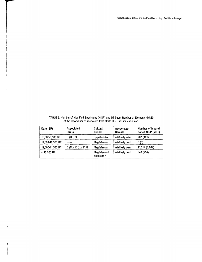TABLE 3. Number of Identified Specimens (NISP) and Minimum Number of Elements (MNE) of the leporid bones recovered from strata  $D - I$  at Picareiro Cave.

| Date (BP)        | <b>Associated</b><br><b>Strata</b> | Cultural<br>Period         | <b>Associated</b><br><b>Climate</b> | Number of leporid<br>bones NISP (MNE) |
|------------------|------------------------------------|----------------------------|-------------------------------------|---------------------------------------|
| 10,500-8,500 BP  | $E(U, )$ , D                       | Epipaleolithic             | relatively warm                     | 767 (421)                             |
| 11,500-10,500 BP | none                               | Magdalenian                | relatively cool                     | 0(0)                                  |
| 12,500-11,500 BP | $E(M.)$ , $E(L.)$ , $F, G$         | Magdalenian                | relatively warm                     | 11.214 (6,889)                        |
| $< 12,500$ BP    |                                    | Magdalenian?<br>Solutrean? | relatively cool                     | 348 (254)                             |

 $\,$  (